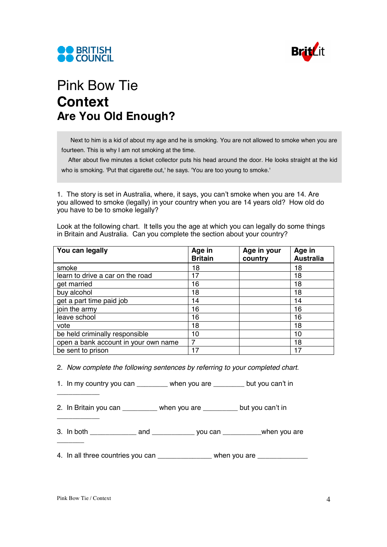



## Pink Bow Tie **Context Are You Old Enough?**

Next to him is a kid of about my age and he is smoking. You are not allowed to smoke when you are fourteen. This is why I am not smoking at the time.

 After about five minutes a ticket collector puts his head around the door. He looks straight at the kid who is smoking. 'Put that cigarette out,' he says. 'You are too young to smoke.'

1. The story is set in Australia, where, it says, you can't smoke when you are 14. Are you allowed to smoke (legally) in your country when you are 14 years old? How old do you have to be to smoke legally?

Look at the following chart. It tells you the age at which you can legally do some things in Britain and Australia. Can you complete the section about your country?

| You can legally                      | Age in<br><b>Britain</b> | Age in your<br>country | Age in<br><b>Australia</b> |
|--------------------------------------|--------------------------|------------------------|----------------------------|
| smoke                                | 18                       |                        | 18                         |
| learn to drive a car on the road     | 17                       |                        | 18                         |
| get married                          | 16                       |                        | 18                         |
| buy alcohol                          | 18                       |                        | 18                         |
| get a part time paid job             | 14                       |                        | 14                         |
| join the army                        | 16                       |                        | 16                         |
| leave school                         | 16                       |                        | 16                         |
| vote                                 | 18                       |                        | 18                         |
| be held criminally responsible       | 10                       |                        | 10                         |
| open a bank account in your own name | 7                        |                        | 18                         |
| be sent to prison                    | 17                       |                        | 17                         |

2. *Now complete the following sentences by referring to your completed chart.* 

1. In my country you can \_\_\_\_\_\_\_\_ when you are \_\_\_\_\_\_\_\_ but you can't in

2. In Britain you can \_\_\_\_\_\_\_\_\_ when you are \_\_\_\_\_\_\_\_\_ but you can't in

3. In both \_\_\_\_\_\_\_\_\_\_\_\_ and \_\_\_\_\_\_\_\_\_\_\_ you can \_\_\_\_\_\_\_\_\_\_when you are

4. In all three countries you can example when you are

\_\_\_\_\_\_\_\_\_\_\_

\_\_\_\_\_\_\_\_\_\_\_

\_\_\_\_\_\_\_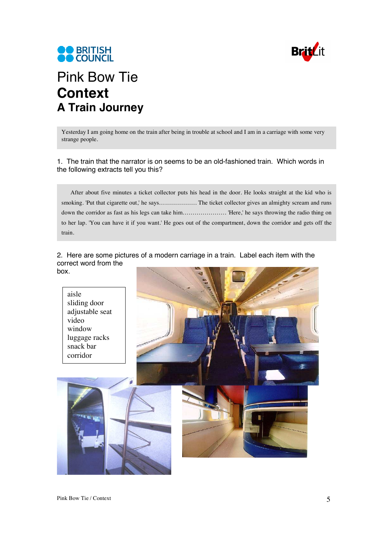



## Pink Bow Tie **Context A Train Journey**

Yesterday I am going home on the train after being in trouble at school and I am in a carriage with some very strange people.

1. The train that the narrator is on seems to be an old-fashioned train. Which words in the following extracts tell you this?

After about five minutes a ticket collector puts his head in the door. He looks straight at the kid who is smoking. 'Put that cigarette out,' he says………………. The ticket collector gives an almighty scream and runs down the corridor as fast as his legs can take him…………………. 'Here,' he says throwing the radio thing on to her lap. 'You can have it if you want.' He goes out of the compartment, down the corridor and gets off the train.

## 2. Here are some pictures of a modern carriage in a train. Label each item with the correct word from the